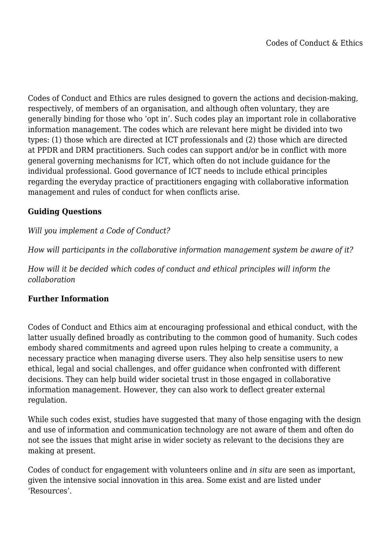Codes of Conduct and Ethics are rules designed to govern the actions and decision-making, respectively, of members of an organisation, and although often voluntary, they are generally binding for those who 'opt in'. Such codes play an important role in collaborative information management. The codes which are relevant here might be divided into two types: (1) those which are directed at ICT professionals and (2) those which are directed at PPDR and DRM practitioners. Such codes can support and/or be in conflict with more general governing mechanisms for ICT, which often do not include guidance for the individual professional. Good governance of ICT needs to include ethical principles regarding the everyday practice of practitioners engaging with collaborative information management and rules of conduct for when conflicts arise.

## **Guiding Questions**

# *Will you implement a Code of Conduct?*

*How will participants in the collaborative information management system be aware of it?*

*How will it be decided which codes of conduct and ethical principles will inform the collaboration*

## **Further Information**

Codes of Conduct and Ethics aim at encouraging professional and ethical conduct, with the latter usually defined broadly as contributing to the common good of humanity. Such codes embody shared commitments and agreed upon rules helping to create a community, a necessary practice when managing diverse users. They also help sensitise users to new ethical, legal and social challenges, and offer guidance when confronted with different decisions. They can help build wider societal trust in those engaged in collaborative information management. However, they can also work to deflect greater external regulation.

While such codes exist, studies have suggested that many of those engaging with the design and use of information and communication technology are not aware of them and often do not see the issues that might arise in wider society as relevant to the decisions they are making at present.

Codes of conduct for engagement with volunteers online and *in situ* are seen as important, given the intensive social innovation in this area. Some exist and are listed under 'Resources'.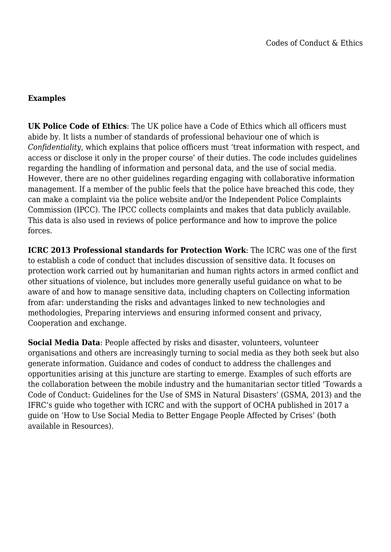#### **Examples**

**UK Police Code of Ethics**: The UK police have a Code of Ethics which all officers must abide by. It lists a number of standards of professional behaviour one of which is *Confidentiality*, which explains that police officers must 'treat information with respect, and access or disclose it only in the proper course' of their duties. The code includes guidelines regarding the handling of information and personal data, and the use of social media. However, there are no other guidelines regarding engaging with collaborative information management. If a member of the public feels that the police have breached this code, they can make a complaint via the police website and/or the Independent Police Complaints Commission (IPCC). The IPCC collects complaints and makes that data publicly available. This data is also used in reviews of police performance and how to improve the police forces.

**ICRC 2013 Professional standards for Protection Work**: The ICRC was one of the first to establish a code of conduct that includes discussion of sensitive data. It focuses on protection work carried out by humanitarian and human rights actors in armed conflict and other situations of violence, but includes more generally useful guidance on what to be aware of and how to manage sensitive data, including chapters on Collecting information from afar: understanding the risks and advantages linked to new technologies and methodologies, Preparing interviews and ensuring informed consent and privacy, Cooperation and exchange.

**Social Media Data:** People affected by risks and disaster, volunteers, volunteer organisations and others are increasingly turning to social media as they both seek but also generate information. Guidance and codes of conduct to address the challenges and opportunities arising at this juncture are starting to emerge. Examples of such efforts are the collaboration between the mobile industry and the humanitarian sector titled 'Towards a Code of Conduct: Guidelines for the Use of SMS in Natural Disasters' (GSMA, 2013) and the IFRC's guide who together with ICRC and with the support of OCHA published in 2017 a guide on 'How to Use Social Media to Better Engage People Affected by Crises' (both available in Resources).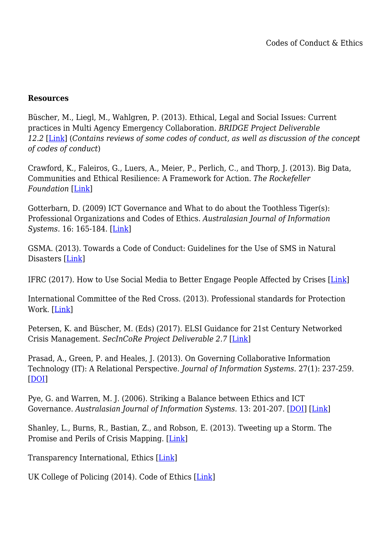#### **Resources**

Büscher, M., Liegl, M., Wahlgren, P. (2013). Ethical, Legal and Social Issues: Current practices in Multi Agency Emergency Collaboration. *BRIDGE Project Deliverable 12.2* [\[Link](http://www.bridgeproject.eu/downloads/d12.2_bridge_elsi.pdf)] (*Contains reviews of some codes of conduct, as well as discussion of the concept of codes of conduct*)

Crawford, K., Faleiros, G., Luers, A., Meier, P., Perlich, C., and Thorp, J. (2013). Big Data, Communities and Ethical Resilience: A Framework for Action. *The Rockefeller Foundation* [[Link\]](https://www.rockefellerfoundation.org/report/big-data-communities-and-ethical-resilience-a-framework-for-action/)

Gotterbarn, D. (2009) ICT Governance and What to do about the Toothless Tiger(s): Professional Organizations and Codes of Ethics. *Australasian Journal of Information Systems.* 16: 165-184. [[Link\]](http://press-files.anu.edu.au/downloads/press/p223541/pdf/ch13.pdf)

GSMA. (2013). Towards a Code of Conduct: Guidelines for the Use of SMS in Natural Disasters [\[Link](https://www.gsma.com/mobilefordevelopment/wp-content/uploads/2013/02/Towards-a-Code-of-Conduct-SMS-Guidelines.pdf)]

IFRC (2017). How to Use Social Media to Better Engage People Affected by Crises [[Link\]](http://media.ifrc.org/ifrc/document/use-social-media-better-engage-people-affected-crises/)

International Committee of the Red Cross. (2013). Professional standards for Protection Work. [[Link](http://www.icrc.org/eng/assets/files/other/icrc-002-0999.pdf)]

Petersen, K. and Büscher, M. (Eds) (2017). ELSI Guidance for 21st Century Networked Crisis Management. *SecInCoRe Project Deliverable 2.7* [[Link\]](http://www.secincore.eu/publications/deliverables/)

Prasad, A., Green, P. and Heales, J. (2013). On Governing Collaborative Information Technology (IT): A Relational Perspective. *Journal of Information Systems.* 27(1): 237-259. [[DOI](http://doi.org/10.2308/isys-50326)]

Pye, G. and Warren, M. J. (2006). Striking a Balance between Ethics and ICT Governance. *Australasian Journal of Information Systems.* 13: 201-207. [\[DOI](http://dx.doi.org/10.3127/ajis.v13i2.53)] [[Link](http://journal.acs.org.au/index.php/ajis/article/view/53/40)]

Shanley, L., Burns, R., Bastian, Z., and Robson, E. (2013). Tweeting up a Storm. The Promise and Perils of Crisis Mapping. [\[Link\]](http://www.wilsoncenter.org/sites/default/files/October_Highlight_865-879.pdf)

Transparency International, Ethics [[Link\]](https://www.transparency.org/whoweare/accountability/ethics/3/)

UK College of Policing (2014). Code of Ethics [\[Link](http://www.college.police.uk/What-we-do/Ethics/Ethics-home/Documents/Code_of_Ethics.pdf)]